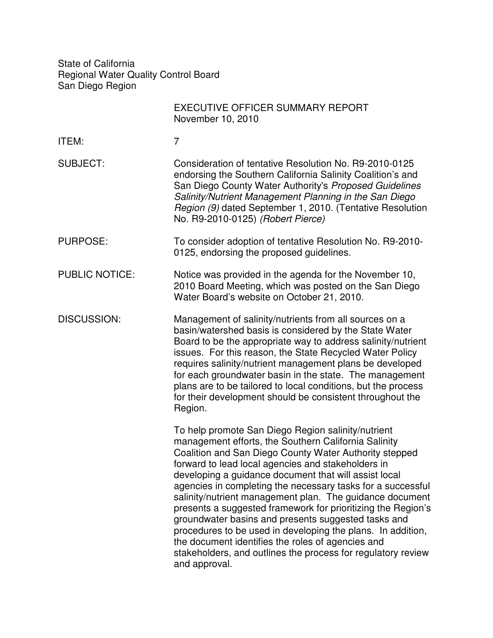State of California Regional Water Quality Control Board San Diego Region

|                       | EXECUTIVE OFFICER SUMMARY REPORT<br>November 10, 2010                                                                                                                                                                                                                                                                                                                                                                                                                                                                                                                                                                                                                                                                                      |
|-----------------------|--------------------------------------------------------------------------------------------------------------------------------------------------------------------------------------------------------------------------------------------------------------------------------------------------------------------------------------------------------------------------------------------------------------------------------------------------------------------------------------------------------------------------------------------------------------------------------------------------------------------------------------------------------------------------------------------------------------------------------------------|
| ITEM:                 | $\overline{7}$                                                                                                                                                                                                                                                                                                                                                                                                                                                                                                                                                                                                                                                                                                                             |
| <b>SUBJECT:</b>       | Consideration of tentative Resolution No. R9-2010-0125<br>endorsing the Southern California Salinity Coalition's and<br>San Diego County Water Authority's Proposed Guidelines<br>Salinity/Nutrient Management Planning in the San Diego<br>Region (9) dated September 1, 2010. (Tentative Resolution<br>No. R9-2010-0125) (Robert Pierce)                                                                                                                                                                                                                                                                                                                                                                                                 |
| <b>PURPOSE:</b>       | To consider adoption of tentative Resolution No. R9-2010-<br>0125, endorsing the proposed guidelines.                                                                                                                                                                                                                                                                                                                                                                                                                                                                                                                                                                                                                                      |
| <b>PUBLIC NOTICE:</b> | Notice was provided in the agenda for the November 10,<br>2010 Board Meeting, which was posted on the San Diego<br>Water Board's website on October 21, 2010.                                                                                                                                                                                                                                                                                                                                                                                                                                                                                                                                                                              |
| <b>DISCUSSION:</b>    | Management of salinity/nutrients from all sources on a<br>basin/watershed basis is considered by the State Water<br>Board to be the appropriate way to address salinity/nutrient<br>issues. For this reason, the State Recycled Water Policy<br>requires salinity/nutrient management plans be developed<br>for each groundwater basin in the state. The management<br>plans are to be tailored to local conditions, but the process<br>for their development should be consistent throughout the<br>Region.                                                                                                                                                                                                                               |
|                       | To help promote San Diego Region salinity/nutrient<br>management efforts, the Southern California Salinity<br>Coalition and San Diego County Water Authority stepped<br>forward to lead local agencies and stakeholders in<br>developing a guidance document that will assist local<br>agencies in completing the necessary tasks for a successful<br>salinity/nutrient management plan. The guidance document<br>presents a suggested framework for prioritizing the Region's<br>groundwater basins and presents suggested tasks and<br>procedures to be used in developing the plans. In addition,<br>the document identifies the roles of agencies and<br>stakeholders, and outlines the process for regulatory review<br>and approval. |